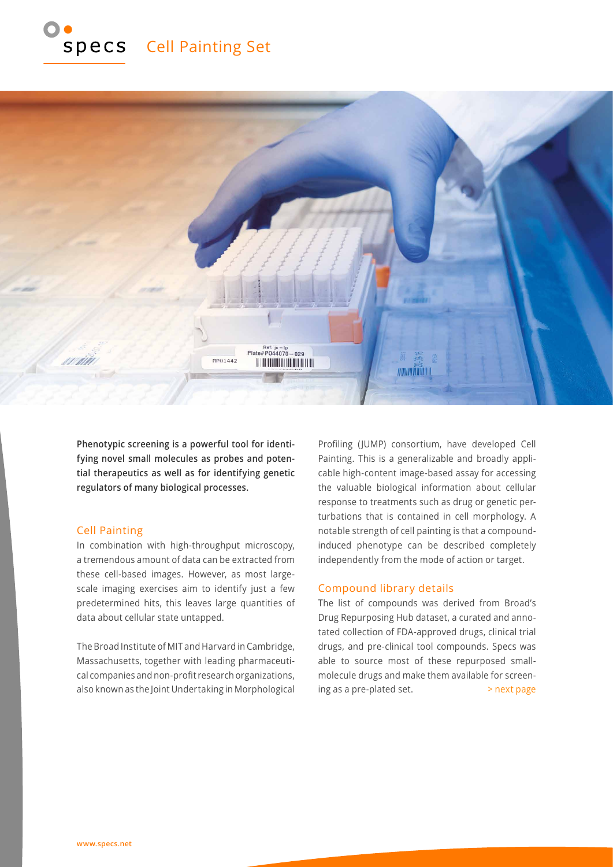



**Phenotypic screening is a powerful tool for identifying novel small molecules as probes and potential therapeutics as well as for identifying genetic regulators of many biological processes.** 

## Cell Painting

In combination with high-throughput microscopy, a tremendous amount of data can be extracted from these cell-based images. However, as most largescale imaging exercises aim to identify just a few predetermined hits, this leaves large quantities of data about cellular state untapped.

The Broad Institute of MIT and Harvard in Cambridge, Massachusetts, together with leading pharmaceutical companies and non-profit research organizations, also known as the Joint Undertaking in Morphological

Profiling (JUMP) consortium, have developed Cell Painting. This is a generalizable and broadly applicable high-content image-based assay for accessing the valuable biological information about cellular response to treatments such as drug or genetic perturbations that is contained in cell morphology. A notable strength of cell painting is that a compoundinduced phenotype can be described completely independently from the mode of action or target.

## Compound library details

The list of compounds was derived from Broad's Drug Repurposing Hub dataset, a curated and annotated collection of FDA-approved drugs, clinical trial drugs, and pre-clinical tool compounds. Specs was able to source most of these repurposed smallmolecule drugs and make them available for screening as a pre-plated set. > next page